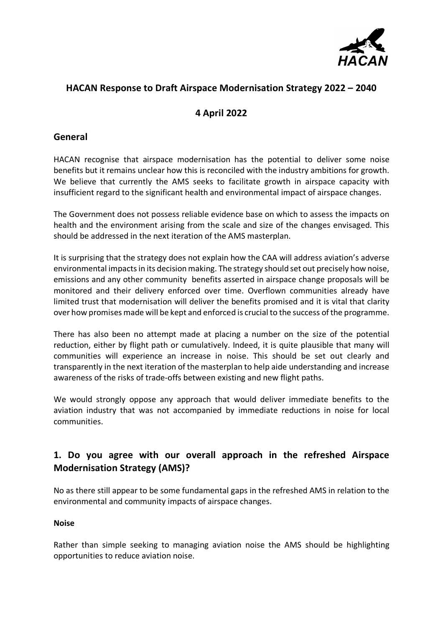

# **HACAN Response to Draft Airspace Modernisation Strategy 2022 – 2040**

## **4 April 2022**

### **General**

HACAN recognise that airspace modernisation has the potential to deliver some noise benefits but it remains unclear how this is reconciled with the industry ambitions for growth. We believe that currently the AMS seeks to facilitate growth in airspace capacity with insufficient regard to the significant health and environmental impact of airspace changes.

The Government does not possess reliable evidence base on which to assess the impacts on health and the environment arising from the scale and size of the changes envisaged. This should be addressed in the next iteration of the AMS masterplan.

It is surprising that the strategy does not explain how the CAA will address aviation's adverse environmental impacts in its decision making. The strategy should set out precisely how noise, emissions and any other community benefits asserted in airspace change proposals will be monitored and their delivery enforced over time. Overflown communities already have limited trust that modernisation will deliver the benefits promised and it is vital that clarity over how promises made will be kept and enforced is crucial to the success of the programme.

There has also been no attempt made at placing a number on the size of the potential reduction, either by flight path or cumulatively. Indeed, it is quite plausible that many will communities will experience an increase in noise. This should be set out clearly and transparently in the next iteration of the masterplan to help aide understanding and increase awareness of the risks of trade-offs between existing and new flight paths.

We would strongly oppose any approach that would deliver immediate benefits to the aviation industry that was not accompanied by immediate reductions in noise for local communities.

# **1. Do you agree with our overall approach in the refreshed Airspace Modernisation Strategy (AMS)?**

No as there still appear to be some fundamental gaps in the refreshed AMS in relation to the environmental and community impacts of airspace changes.

#### **Noise**

Rather than simple seeking to managing aviation noise the AMS should be highlighting opportunities to reduce aviation noise.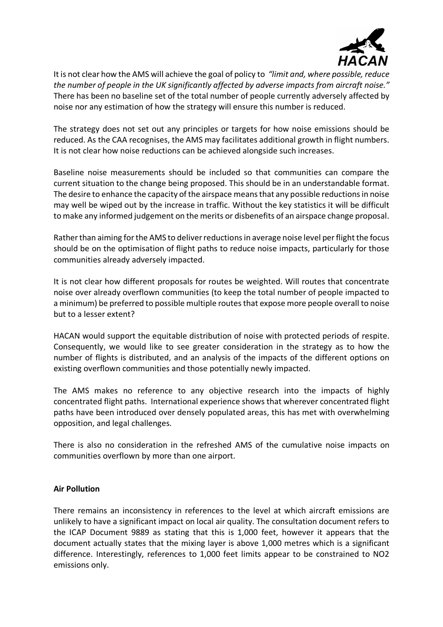

It is not clear how the AMS will achieve the goal of policy to *"limit and, where possible, reduce the number of people in the UK significantly affected by adverse impacts from aircraft noise."*  There has been no baseline set of the total number of people currently adversely affected by noise nor any estimation of how the strategy will ensure this number is reduced.

The strategy does not set out any principles or targets for how noise emissions should be reduced. As the CAA recognises, the AMS may facilitates additional growth in flight numbers. It is not clear how noise reductions can be achieved alongside such increases.

Baseline noise measurements should be included so that communities can compare the current situation to the change being proposed. This should be in an understandable format. The desire to enhance the capacity of the airspace means that any possible reductions in noise may well be wiped out by the increase in traffic. Without the key statistics it will be difficult to make any informed judgement on the merits or disbenefits of an airspace change proposal.

Rather than aiming for the AMS to deliver reductions in average noise level per flight the focus should be on the optimisation of flight paths to reduce noise impacts, particularly for those communities already adversely impacted.

It is not clear how different proposals for routes be weighted. Will routes that concentrate noise over already overflown communities (to keep the total number of people impacted to a minimum) be preferred to possible multiple routes that expose more people overall to noise but to a lesser extent?

HACAN would support the equitable distribution of noise with protected periods of respite. Consequently, we would like to see greater consideration in the strategy as to how the number of flights is distributed, and an analysis of the impacts of the different options on existing overflown communities and those potentially newly impacted.

The AMS makes no reference to any objective research into the impacts of highly concentrated flight paths. International experience shows that wherever concentrated flight paths have been introduced over densely populated areas, this has met with overwhelming opposition, and legal challenges.

There is also no consideration in the refreshed AMS of the cumulative noise impacts on communities overflown by more than one airport.

#### **Air Pollution**

There remains an inconsistency in references to the level at which aircraft emissions are unlikely to have a significant impact on local air quality. The consultation document refers to the ICAP Document 9889 as stating that this is 1,000 feet, however it appears that the document actually states that the mixing layer is above 1,000 metres which is a significant difference. Interestingly, references to 1,000 feet limits appear to be constrained to NO2 emissions only.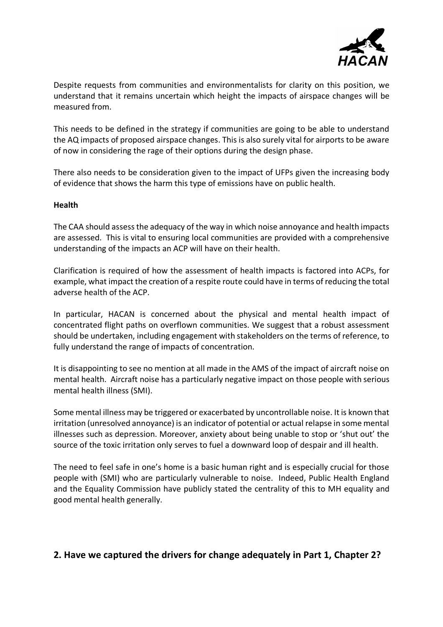

Despite requests from communities and environmentalists for clarity on this position, we understand that it remains uncertain which height the impacts of airspace changes will be measured from.

This needs to be defined in the strategy if communities are going to be able to understand the AQ impacts of proposed airspace changes. This is also surely vital for airports to be aware of now in considering the rage of their options during the design phase.

There also needs to be consideration given to the impact of UFPs given the increasing body of evidence that shows the harm this type of emissions have on public health.

#### **Health**

The CAA should assess the adequacy of the way in which noise annoyance and health impacts are assessed. This is vital to ensuring local communities are provided with a comprehensive understanding of the impacts an ACP will have on their health.

Clarification is required of how the assessment of health impacts is factored into ACPs, for example, what impact the creation of a respite route could have in terms of reducing the total adverse health of the ACP.

In particular, HACAN is concerned about the physical and mental health impact of concentrated flight paths on overflown communities. We suggest that a robust assessment should be undertaken, including engagement with stakeholders on the terms of reference, to fully understand the range of impacts of concentration.

It is disappointing to see no mention at all made in the AMS of the impact of aircraft noise on mental health. Aircraft noise has a particularly negative impact on those people with serious mental health illness (SMI).

Some mental illness may be triggered or exacerbated by uncontrollable noise. It is known that irritation (unresolved annoyance) is an indicator of potential or actual relapse in some mental illnesses such as depression. Moreover, anxiety about being unable to stop or 'shut out' the source of the toxic irritation only serves to fuel a downward loop of despair and ill health.

The need to feel safe in one's home is a basic human right and is especially crucial for those people with (SMI) who are particularly vulnerable to noise. Indeed, Public Health England and the Equality Commission have publicly stated the centrality of this to MH equality and good mental health generally.

### **2. Have we captured the drivers for change adequately in Part 1, Chapter 2?**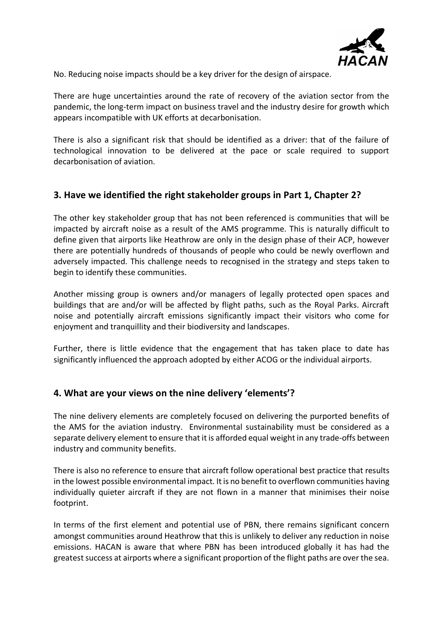

No. Reducing noise impacts should be a key driver for the design of airspace.

There are huge uncertainties around the rate of recovery of the aviation sector from the pandemic, the long-term impact on business travel and the industry desire for growth which appears incompatible with UK efforts at decarbonisation.

There is also a significant risk that should be identified as a driver: that of the failure of technological innovation to be delivered at the pace or scale required to support decarbonisation of aviation.

## **3. Have we identified the right stakeholder groups in Part 1, Chapter 2?**

The other key stakeholder group that has not been referenced is communities that will be impacted by aircraft noise as a result of the AMS programme. This is naturally difficult to define given that airports like Heathrow are only in the design phase of their ACP, however there are potentially hundreds of thousands of people who could be newly overflown and adversely impacted. This challenge needs to recognised in the strategy and steps taken to begin to identify these communities.

Another missing group is owners and/or managers of legally protected open spaces and buildings that are and/or will be affected by flight paths, such as the Royal Parks. Aircraft noise and potentially aircraft emissions significantly impact their visitors who come for enjoyment and tranquillity and their biodiversity and landscapes.

Further, there is little evidence that the engagement that has taken place to date has significantly influenced the approach adopted by either ACOG or the individual airports.

### **4. What are your views on the nine delivery 'elements'?**

The nine delivery elements are completely focused on delivering the purported benefits of the AMS for the aviation industry. Environmental sustainability must be considered as a separate delivery element to ensure that it is afforded equal weight in any trade-offs between industry and community benefits.

There is also no reference to ensure that aircraft follow operational best practice that results in the lowest possible environmental impact. It is no benefit to overflown communities having individually quieter aircraft if they are not flown in a manner that minimises their noise footprint.

In terms of the first element and potential use of PBN, there remains significant concern amongst communities around Heathrow that this is unlikely to deliver any reduction in noise emissions. HACAN is aware that where PBN has been introduced globally it has had the greatest success at airports where a significant proportion of the flight paths are over the sea.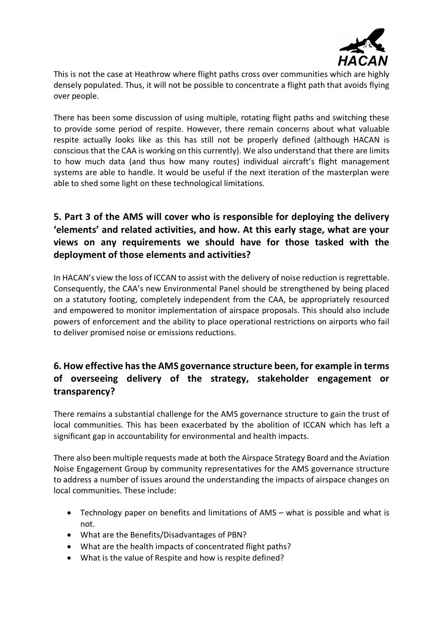

This is not the case at Heathrow where flight paths cross over communities which are highly densely populated. Thus, it will not be possible to concentrate a flight path that avoids flying over people.

There has been some discussion of using multiple, rotating flight paths and switching these to provide some period of respite. However, there remain concerns about what valuable respite actually looks like as this has still not be properly defined (although HACAN is conscious that the CAA is working on this currently). We also understand that there are limits to how much data (and thus how many routes) individual aircraft's flight management systems are able to handle. It would be useful if the next iteration of the masterplan were able to shed some light on these technological limitations.

# **5. Part 3 of the AMS will cover who is responsible for deploying the delivery 'elements' and related activities, and how. At this early stage, what are your views on any requirements we should have for those tasked with the deployment of those elements and activities?**

In HACAN's view the loss of ICCAN to assist with the delivery of noise reduction is regrettable. Consequently, the CAA's new Environmental Panel should be strengthened by being placed on a statutory footing, completely independent from the CAA, be appropriately resourced and empowered to monitor implementation of airspace proposals. This should also include powers of enforcement and the ability to place operational restrictions on airports who fail to deliver promised noise or emissions reductions.

# **6. How effective has the AMS governance structure been, for example in terms of overseeing delivery of the strategy, stakeholder engagement or transparency?**

There remains a substantial challenge for the AMS governance structure to gain the trust of local communities. This has been exacerbated by the abolition of ICCAN which has left a significant gap in accountability for environmental and health impacts.

There also been multiple requests made at both the Airspace Strategy Board and the Aviation Noise Engagement Group by community representatives for the AMS governance structure to address a number of issues around the understanding the impacts of airspace changes on local communities. These include:

- Technology paper on benefits and limitations of AMS what is possible and what is not.
- What are the Benefits/Disadvantages of PBN?
- What are the health impacts of concentrated flight paths?
- What is the value of Respite and how is respite defined?